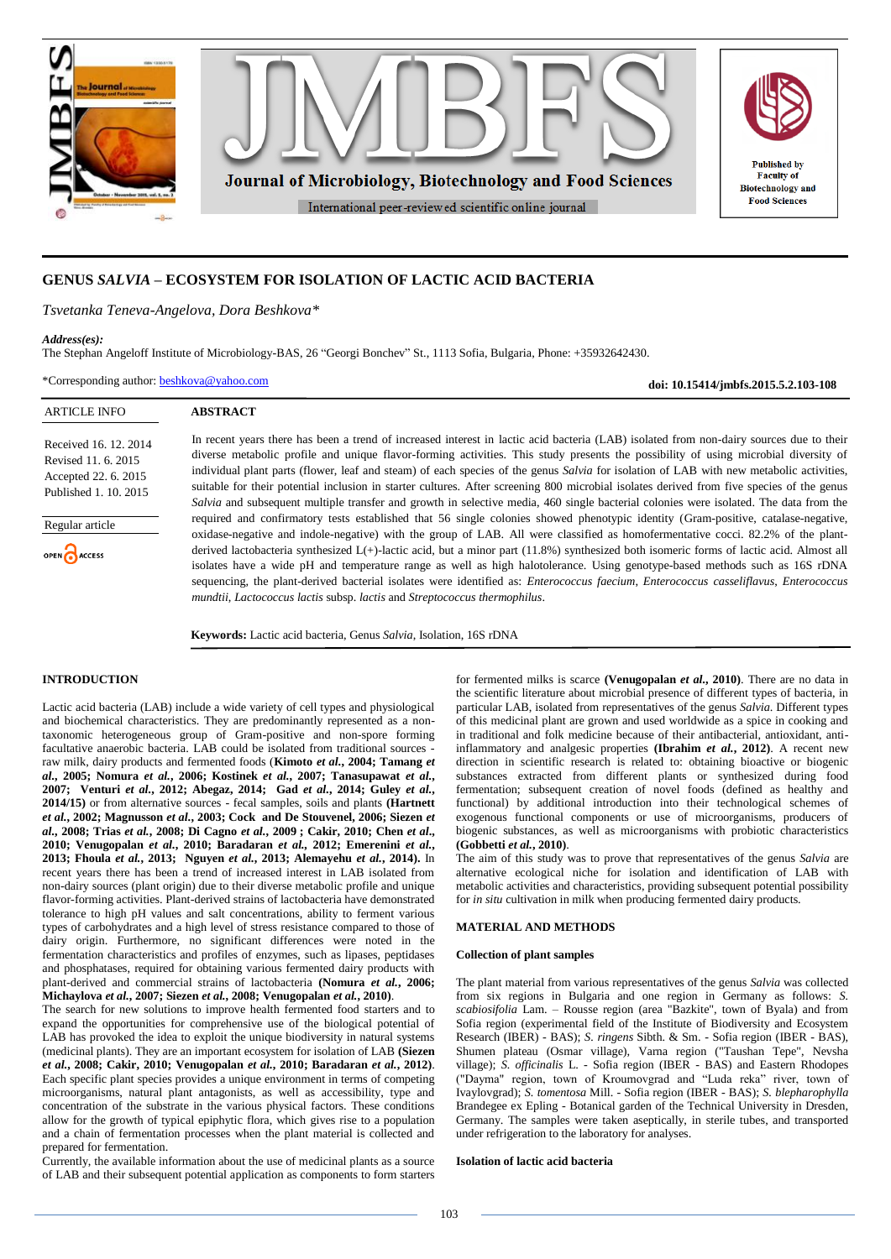

## **GENUS** *SALVIA* **– ECOSYSTEM FOR ISOLATION OF LACTIC ACID BACTERIA**

*Tsvetanka Teneva-Angelova, Dora Beshkova\**

**ABSTRACT**

### *Address(es):*

The Stephan Angeloff Institute of Microbiology-BAS, 26 "Georgi Bonchev" St., 1113 Sofia, Bulgaria, Phone: +35932642430.

\*Corresponding author: [beshkova@yahoo.com](mailto:beshkova@yahoo.com)

**doi: 10.15414/jmbfs.2015.5.2.103-108**

### ARTICLE INFO

Received 16. 12. 2014 Revised 11. 6. 2015 Accepted 22. 6. 2015 Published 1. 10. 2015

Regular article OPEN ACCESS

In recent years there has been a trend of increased interest in lactic acid bacteria (LAB) isolated from non-dairy sources due to their diverse metabolic profile and unique flavor-forming activities. This study presents the possibility of using microbial diversity of individual plant parts (flower, leaf and steam) of each species of the genus *Salvia* for isolation of LAB with new metabolic activities, suitable for their potential inclusion in starter cultures. After screening 800 microbial isolates derived from five species of the genus *Salvia* and subsequent multiple transfer and growth in selective media, 460 single bacterial colonies were isolated. The data from the required and confirmatory tests established that 56 single colonies showed phenotypic identity (Gram-positive, catalase-negative, oxidase-negative and indole-negative) with the group of LAB. All were classified as homofermentative cocci. 82.2% of the plantderived lactobacteria synthesized L(+)-lactic acid, but a minor part (11.8%) synthesized both isomeric forms of lactic acid. Almost all isolates have a wide pH and temperature range as well as high halotolerance. Using genotype-based methods such as 16S rDNA sequencing, the plant-derived bacterial isolates were identified as: *Enterococcus faecium*, *Enterococcus casseliflavus*, *Enterococcus mundtii*, *Lactococcus lactis* subsp. *lactis* and *Streptococcus thermophilus*.

**Keywords:** Lactic acid bacteria, Genus *Salvia*, Isolation, 16S rDNA

## **INTRODUCTION**

Lactic acid bacteria (LAB) include a wide variety of cell types and physiological and biochemical characteristics. They are predominantly represented as a nontaxonomic heterogeneous group of Gram-positive and non-spore forming facultative anaerobic bacteria. LAB could be isolated from traditional sources raw milk, dairy products and fermented foods (**Kimoto** *et al.***, 2004; Tamang** *et al.***, 2005; Nomura** *et al.***, 2006; Kostinek** *et al.***, 2007; Tanasupawat** *et al.***, 2007; Venturi** *et al.***, 2012; Abegaz, 2014; Gad** *et al.***, 2014; Guley** *et al.***, 2014/15)** or from alternative sources - fecal samples, soils and plants **(Hartnett**  *et al.***, 2002; Magnusson** *et al.***, 2003; Cock and De Stouvenel, 2006; Siezen** *et al.***, 2008; Trias** *et al.***, 2008; Di Cagno** *et al.***, 2009 ; Cakir, 2010; Chen** *et al***., 2010; Venugopalan** *et al.***, 2010; Baradaran** *et al.,* **2012; Emerenini** *et al.***, 2013; Fhoula** *et al.***, 2013; Nguyen** *et al.***, 2013; Alemayehu** *et al.***, 2014).** In recent years there has been a trend of increased interest in LAB isolated from non-dairy sources (plant origin) due to their diverse metabolic profile and unique flavor-forming activities. Plant-derived strains of lactobacteria have demonstrated tolerance to high pH values and salt concentrations, ability to ferment various types of carbohydrates and a high level of stress resistance compared to those of dairy origin. Furthermore, no significant differences were noted in the fermentation characteristics and profiles of enzymes, such as lipases, peptidases and phosphatases, required for obtaining various fermented dairy products with plant-derived and commercial strains of lactobacteria **(Nomura** *et al.***, 2006; Michaylova** *et al.***, 2007; Siezen** *et al.***, 2008; Venugopalan** *et al.***, 2010)**.

The search for new solutions to improve health fermented food starters and to expand the opportunities for comprehensive use of the biological potential of LAB has provoked the idea to exploit the unique biodiversity in natural systems (medicinal plants). They are an important ecosystem for isolation of LAB **(Siezen** *et al.***, 2008; Cakir, 2010; Venugopalan** *et al.***, 2010; Baradaran** *et al.***, 2012)**. Each specific plant species provides a unique environment in terms of competing microorganisms, natural plant antagonists, as well as accessibility, type and concentration of the substrate in the various physical factors. These conditions allow for the growth of typical epiphytic flora, which gives rise to a population and a chain of fermentation processes when the plant material is collected and prepared for fermentation.

Currently, the available information about the use of medicinal plants as a source of LAB and their subsequent potential application as components to form starters for fermented milks is scarce **(Venugopalan** *et al.***, 2010)**. There are no data in the scientific literature about microbial presence of different types of bacteria, in particular LAB, isolated from representatives of the genus *Salvia*. Different types of this medicinal plant are grown and used worldwide as a spice in cooking and in traditional and folk medicine because of their antibacterial, antioxidant, antiinflammatory and analgesic properties **(Ibrahim** *et al.***, 2012)**. A recent new direction in scientific research is related to: obtaining bioactive or biogenic substances extracted from different plants or synthesized during food fermentation; subsequent creation of novel foods (defined as healthy and functional) by additional introduction into their technological schemes of exogenous functional components or use of microorganisms, producers of biogenic substances, as well as microorganisms with probiotic characteristics **(Gobbetti** *et al.***, 2010)**.

The aim of this study was to prove that representatives of the genus *Salvia* are alternative ecological niche for isolation and identification of LAB with metabolic activities and characteristics, providing subsequent potential possibility for *in situ* cultivation in milk when producing fermented dairy products.

## **MATERIAL AND METHODS**

#### **Collection of plant samples**

The plant material from various representatives of the genus *Salvia* was collected from six regions in Bulgaria and one region in Germany as follows: *S. scabiosifolia* Lam. – Rousse region (area "Bazkite", town of Byala) and from Sofia region (experimental field of the Institute of Biodiversity and Ecosystem Research (IBER) - BAS); *S. ringens* Sibth. & Sm. - Sofia region (IBER - BAS), Shumen plateau (Osmar village), Varna region ("Taushan Tepe", Nevsha village); *S. officinalis* L. - Sofia region (IBER - BAS) and Eastern Rhodopes ("Dayma" region, town of Kroumovgrad and "Luda reka" river, town of Ivaylovgrad); *S. tomentosa* Mill. - Sofia region (IBER - BAS); *S. blepharophylla* Brandegee ex Epling - Botanical garden of the Technical University in Dresden, Germany. The samples were taken aseptically, in sterile tubes, and transported under refrigeration to the laboratory for analyses.

### **Isolation of lactic acid bacteria**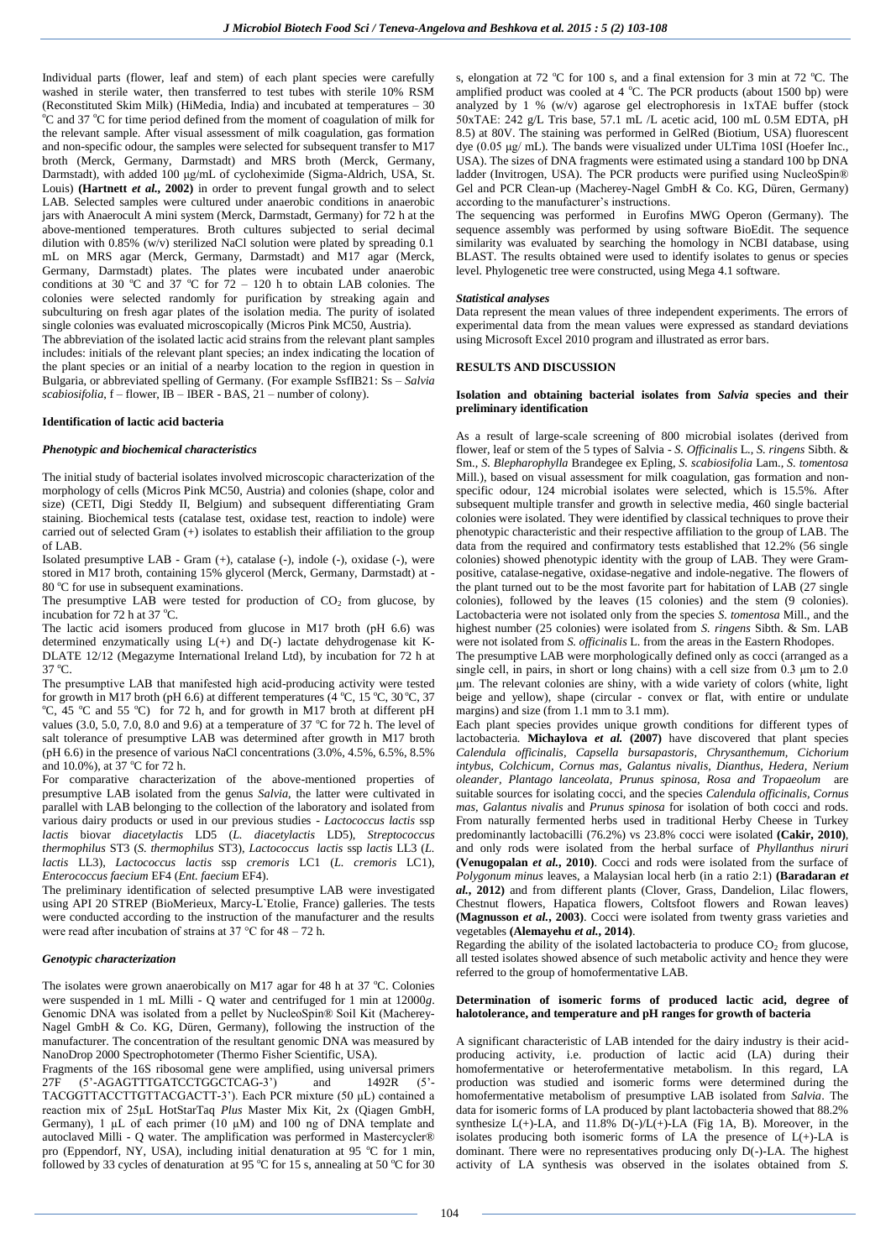Individual parts (flower, leaf and stem) of each plant species were carefully washed in sterile water, then transferred to test tubes with sterile 10% RSM (Reconstituted Skim Milk) (HiMedia, India) and incubated at temperatures – 30 <sup>o</sup>C and 37 <sup>o</sup>C for time period defined from the moment of coagulation of milk for the relevant sample. After visual assessment of milk coagulation, gas formation and non-specific odour, the samples were selected for subsequent transfer to M17 broth (Merck, Germany, Darmstadt) and MRS broth (Merck, Germany, Darmstadt), with added 100 μg/mL of cycloheximide (Sigma-Aldrich, USA, St. Louis) **(Hartnett** *et al.***, 2002)** in order to prevent fungal growth and to select LAB. Selected samples were cultured under anaerobic conditions in anaerobic jars with Anaerocult A mini system (Merck, Darmstadt, Germany) for 72 h at the above-mentioned temperatures. Broth cultures subjected to serial decimal dilution with 0.85%  $(w/v)$  sterilized NaCl solution were plated by spreading 0.1 mL on MRS agar (Merck, Germany, Darmstadt) and M17 agar (Merck, Germany, Darmstadt) plates. The plates were incubated under anaerobic conditions at 30 °C and 37 °C for  $72 - 120$  h to obtain LAB colonies. The colonies were selected randomly for purification by streaking again and subculturing on fresh agar plates of the isolation media. The purity of isolated single colonies was evaluated microscopically (Micros Pink MC50, Austria).

The abbreviation of the isolated lactic acid strains from the relevant plant samples includes: initials of the relevant plant species; an index indicating the location of the plant species or an initial of a nearby location to the region in question in Bulgaria, or abbreviated spelling of Germany. (For example SsfIB21: Ss – *Salvia scabiosifolia*, f – flower, IB – IBER - BAS, 21 – number of colony).

### **Identification of lactic acid bacteria**

## *Phenotypic and biochemical characteristics*

The initial study of bacterial isolates involved microscopic characterization of the morphology of cells (Micros Pink MC50, Austria) and colonies (shape, color and size) (CETI, Digi Steddy II, Belgium) and subsequent differentiating Gram staining. Biochemical tests (catalase test, oxidase test, reaction to indole) were carried out of selected Gram (+) isolates to establish their affiliation to the group of LAB.

Isolated presumptive LAВ - Gram (+), catalase (-), indole (-), oxidase (-), were stored in M17 broth, containing 15% glycerol (Merck, Germany, Darmstadt) at - 80 °C for use in subsequent examinations.

The presumptive  $LA\dot{B}$  were tested for production of  $CO<sub>2</sub>$  from glucose, by incubation for 72 h at 37 °C.

The lactic acid isomers produced from glucose in M17 broth (pH 6.6) was determined enzymatically using L(+) and D(-) lactate dehydrogenase kit K-DLATE 12/12 (Megazyme International Ireland Ltd), by incubation for 72 h at  $37 \, {}^{\circ}\text{C}$ 

The presumptive LAВ that manifested high acid-producing activity were tested for growth in M17 broth (pH 6.6) at different temperatures (4 °C, 15 °C, 30 °C, 37 °C, 45 °C and 55 °C) for 72 h, and for growth in M17 broth at different pH values (3.0, 5.0, 7.0, 8.0 and 9.6) at a temperature of 37  $^{\circ}$ C for 72 h. The level of salt tolerance of presumptive LAB was determined after growth in M17 broth (рН 6.6) in the presence of various NaCl concentrations (3.0%, 4.5%, 6.5%, 8.5% and 10.0%), at 37 °C for 72 h.

For comparative characterization of the above-mentioned properties of presumptive LAB isolated from the genus *Salvia*, the latter were cultivated in parallel with LAB belonging to the collection of the laboratory and isolated from various dairy products or used in our previous studies - *Lactococcus lactis* ssp *lactis* biovar *diacetylactis* LD5 (*L. diacetylactis* LD5), *Streptococcus thermophilus* ST3 (*S. thermophilus* ST3), *Lactococcus lactis* ssp *lactis* LL3 (*L. lactis* LL3), *Lactococcus lactis* ssp *cremoris* LC1 (*L. cremoris* LC1), *Enterococcus faecium* EF4 (*Ent. faecium* EF4).

The preliminary identification of selected presumptive LAB were investigated using API 20 STREP (BioMerieux, Marcy-L`Etolie, France) galleries. The tests were conducted according to the instruction of the manufacturer and the results were read after incubation of strains at 37 °C for 48 – 72 h.

### *Genotypic characterization*

The isolates were grown anaerobically on M17 agar for 48 h at 37  $^{\circ}$ C. Colonies were suspended in 1 mL Milli - Q water and centrifuged for 1 min at 12000*g*. Genomic DNA was isolated from a pellet by NucleoSpin® Soil Kit (Мacherey-Nagel GmbH & Co. KG, Düren, Germany), following the instruction of the manufacturer. The concentration of the resultant genomic DNA was measured by NanoDrop 2000 Spectrophotometer (Thermo Fisher Scientific, USA).

Fragments of the 16S ribosomal gene were amplified, using universal primers 27F (5'-AGAGTTTGATCCTGGCTCAG-3') and 1492R (5'-TACGGТTACCTTGTTACGACTT-3'). Each PCR mixture (50 μL) contained a reaction mix of 25µL HotStarTaq *Plus* Master Mix Kit, 2x (Qiagen GmbH, Germany), 1  $\mu$ L of each primer (10  $\mu$ M) and 100 ng of DNA template and autoclaved Milli - Q water. The amplification was performed in Mastercycler® pro (Eppendorf, NY, USA), including initial denaturation at 95 °C for 1 min, followed by 33 cycles of denaturation at 95  $\mathrm{^{\circ}C}$  for 15 s, annealing at 50  $\mathrm{^{\circ}C}$  for 30

s, elongation at 72  $\degree$ C for 100 s, and a final extension for 3 min at 72  $\degree$ C. The amplified product was cooled at 4  $^{\circ}$ C. The PCR products (about 1500 bp) were analyzed by 1 % (w/v) agarose gel electrophoresis in 1хТАЕ buffer (stock 50хТАЕ: 242 g/L Tris base, 57.1 mL /L acetic acid, 100 mL 0.5M EDTA, pH 8.5) at 80V. The staining was performed in GelRed (Biotium, USA) fluorescent dye (0.05 μg/ mL). The bands were visualized under ULTimа 10SI (Hoefer Inc., USA). The sizes of DNA fragments were estimated using a standard 100 bp DNA ladder (Invitrogen, USA). Тhe PCR products were purified using NucleoSpin® Gel and PCR Clean-up (Мacherey-Nagel GmbH & Co. KG, Düren, Germany) according to the manufacturer's instructions.

The sequencing was performed in Eurofins MWG Operon (Germany). The sequence assembly was performed by using software BioEdit. The sequence similarity was evaluated by searching the homology in NCBI database, using BLAST. The results obtained were used to identify isolates to genus or species level. Phylogenetic tree were constructed, using Mega 4.1 software.

#### *Statistical analyses*

Data represent the mean values of three independent experiments. The errors of experimental data from the mean values were expressed as standard deviations using Microsoft Excel 2010 program and illustrated as error bars.

### **RESULTS AND DISCUSSION**

### **Isolation and obtaining bacterial isolates from** *Salvia* **species and their preliminary identification**

As a result of large-scale screening of 800 microbial isolates (derived from flower, leaf or stem of the 5 types of Salvia - *S. Officinalis* L., *S. ringens* Sibth. & Sm.*, S. Blepharophylla* Brandegee ex Epling*, S. scabiosifolia* Lam.*, S. tomentosa* Mill.), based on visual assessment for milk coagulation, gas formation and nonspecific odour, 124 microbial isolates were selected, which is 15.5%. After subsequent multiple transfer and growth in selective media, 460 single bacterial colonies were isolated. They were identified by classical techniques to prove their phenotypic characteristic and their respective affiliation to the group of LAB. The data from the required and confirmatory tests established that 12.2% (56 single colonies) showed phenotypic identity with the group of LAB. They were Grampositive, catalase-negative, oxidase-negative and indole-negative. The flowers of the plant turned out to be the most favorite part for habitation of LAB (27 single colonies), followed by the leaves (15 colonies) and the stem (9 colonies). Lactobacteria were not isolated only from the species *S. tomentosa* Mill., and the highest number (25 colonies) were isolated from *S. ringens* Sibth. & Sm. LAB were not isolated from *S. officinalis* L. from the areas in the Eastern Rhodopes.

The presumptive LAB were morphologically defined only as cocci (arranged as a single cell, in pairs, in short or long chains) with a cell size from 0.3 μm to 2.0 μm. The relevant colonies are shiny, with a wide variety of colors (white, light beige and yellow), shape (circular - convex or flat, with entire or undulate margins) and size (from 1.1 mm to 3.1 mm).

Each plant species provides unique growth conditions for different types of lactobacteria. **Michaylova** *et al.* **(2007)** have discovered that plant species *Calendula officinalis, Capsella bursapastoris, Chrysanthemum, Cichorium intybus, Colchicum, Cornus mas, Galantus nivalis, Dianthus, Hedera, Nerium oleander, Plantago lanceolata, Prunus spinosa*, *Rosa and Tropaeolum* are suitable sources for isolating cocci, and the species *Calendula officinalis, Cornus mas, Galantus nivalis* and *Prunus spinosa* for isolation of both cocci and rods. From naturally fermented herbs used in traditional Herby Cheese in Turkey predominantly lactobacilli (76.2%) vs 23.8% cocci were isolated **(Cakir, 2010)**, and only rods were isolated from the herbal surface of *Phyllanthus niruri* **(Venugopalan** *et al.***, 2010)**. Cocci and rods were isolated from the surface of *Polygonum minus* leaves, a Malaysian local herb (in a ratio 2:1) **(Baradaran** *et al.***, 2012)** and from different plants (Clover, Grass, Dandelion, Lilac flowers, Chestnut flowers, Hapatica flowers, Coltsfoot flowers and Rowan leaves) **(Magnusson** *et al.***, 2003)**. Cocci were isolated from twenty grass varieties and vegetables **(Alemayehu** *et al.***, 2014)**.

Regarding the ability of the isolated lactobacteria to produce  $CO<sub>2</sub>$  from glucose, all tested isolates showed absence of such metabolic activity and hence they were referred to the group of homofermentative LAB.

### **Determination of isomeric forms of produced lactic acid, degree of halotolerance, and temperature and pH ranges for growth of bacteria**

A significant characteristic of LAB intended for the dairy industry is their acidproducing activity, i.e. production of lactic acid (LA) during their homofermentative or heterofermentative metabolism. In this regard, LA production was studied and isomeric forms were determined during the homofermentative metabolism of presumptive LAB isolated from *Salvia*. The data for isomeric forms of LA produced by plant lactobacteria showed that 88.2% synthesize  $L(+)$ -LA, and 11.8%  $D(-)/L(+)$ -LA (Fig 1A, B). Moreover, in the isolates producing both isomeric forms of LA the presence of  $L(+)$ -LA is dominant. There were no representatives producing only  $D(-)$ -LA. The highest activity of LA synthesis was observed in the isolates obtained from *S.*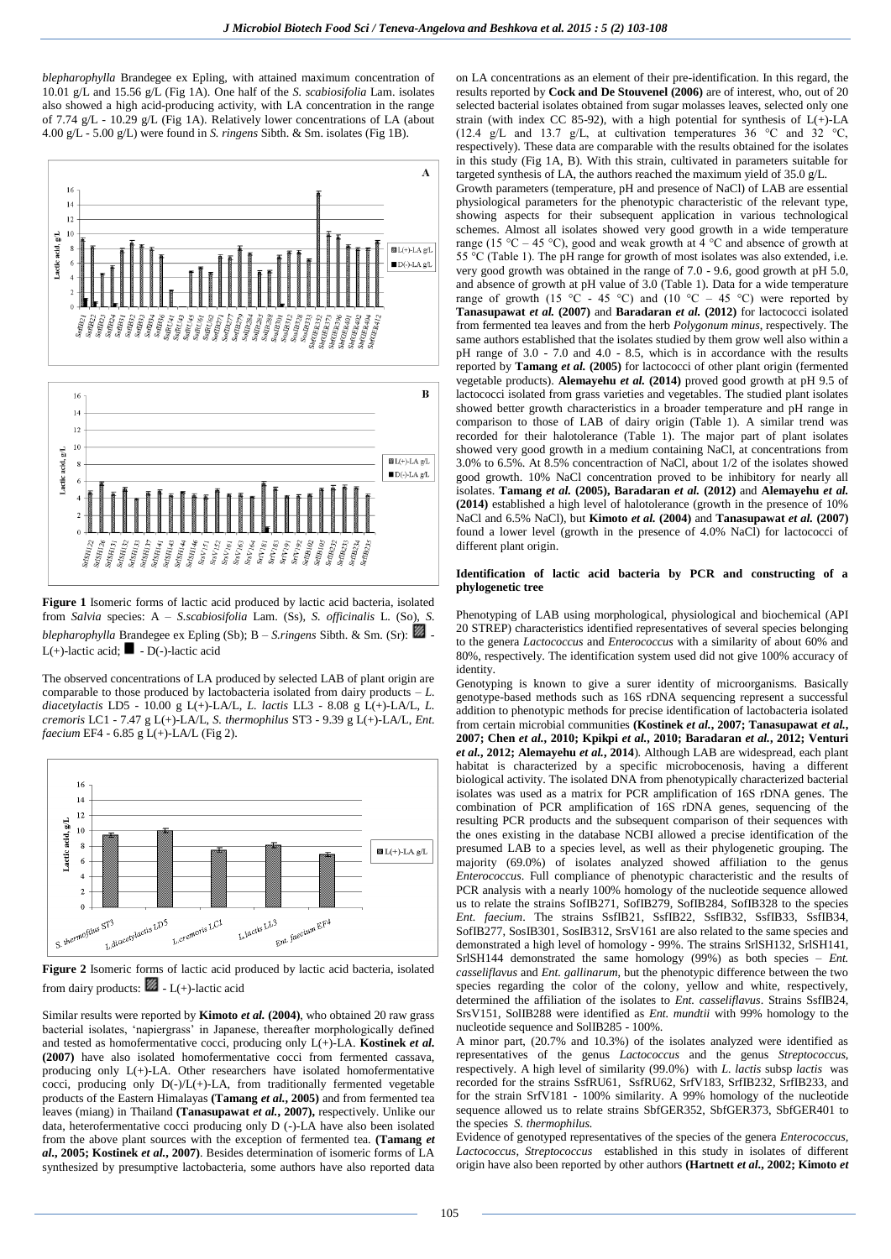*blepharophylla* Brandegee ex Epling*,* with attained maximum concentration of 10.01 g/L and 15.56 g/L (Fig 1A). One half of the *S. scabiosifolia* Lam. isolates also showed a high acid-producing activity, with LA concentration in the range of 7.74 g/L - 10.29 g/L (Fig 1A). Relatively lower concentrations of LA (about 4.00 g/L - 5.00 g/L) were found in *S. ringens* Sibth. & Sm. isolates (Fig 1B).



**Figure 1** Isomeric forms of lactic acid produced by lactic acid bacteria, isolated from *Salvia* species: A – *S.scabiosifolia* Lam. (Ss), *S. officinalis* L. (So), *S. blepharophylla* Brandegee ex Epling (Sb); B – *S.ringens* Sibth. & Sm. (Sr): L(+)-lactic acid:  $\blacksquare$  - D(-)-lactic acid

The observed concentrations of LA produced by selected LAB of plant origin are comparable to those produced by lactobacteria isolated from dairy products  $-L$ . *diacetylactis* LD5 - 10.00 g L(+)-LA/L, *L. lactis* LL3 - 8.08 g L(+)-LA/L, *L. cremoris* LC1 - 7.47 g L(+)-LA/L, *S. thermophilus* ST3 - 9.39 g L(+)-LA/L, *Ent. faecium* EF4 - 6.85 g L(+)-LA/L (Fig 2).



**Figure 2** Isomeric forms of lactic acid produced by lactic acid bacteria, isolated from dairy products:  $\blacksquare$  - L(+)-lactic acid

Similar results were reported by **Kimoto** *et al.* **(2004)**, who obtained 20 raw grass bacterial isolates, 'napiergrass' in Japanese, thereafter morphologically defined and tested as homofermentative cocci, producing only L(+)-LA. **Kostinek** *et al.* **(2007)** have also isolated homofermentative cocci from fermented cassava, producing only L(+)-LA. Other researchers have isolated homofermentative cocci, producing only D(-)/L(+)-LA, from traditionally fermented vegetable products of the Eastern Himalayas **(Tamang** *et al.***, 2005)** and from fermented tea leaves (miang) in Thailand **(Tanasupawat** *et al.***, 2007),** respectively. Unlike our data, heterofermentative cocci producing only D (-)-LA have also been isolated from the above plant sources with the exception of fermented tea. **(Tamang** *et al.***, 2005; Kostinek** *et al.***, 2007)**. Besides determination of isomeric forms of LA synthesized by presumptive lactobacteria, some authors have also reported data

on LA concentrations as an element of their pre-identification. In this regard, the results reported by **Cock and De Stouvenel (2006)** are of interest, who, out of 20 selected bacterial isolates obtained from sugar molasses leaves, selected only one strain (with index CC 85-92), with a high potential for synthesis of  $L(+)$ -LA (12.4 g/L and 13.7 g/L, at cultivation temperatures 36  $^{\circ}$ C and 32  $^{\circ}$ C, respectively). These data are comparable with the results obtained for the isolates in this study (Fig 1A, B). With this strain, cultivated in parameters suitable for targeted synthesis of LA, the authors reached the maximum yield of 35.0 g/L.

Growth parameters (temperature, pH and presence of NaCl) of LAB are essential physiological parameters for the phenotypic characteristic of the relevant type, showing aspects for their subsequent application in various technological schemes. Almost all isolates showed very good growth in a wide temperature range (15 °C – 45 °C), good and weak growth at  $\frac{4}{9}$  °C and absence of growth at 55  $^{\circ}$ C (Table 1). The pH range for growth of most isolates was also extended, i.e. very good growth was obtained in the range of 7.0 - 9.6, good growth at pH 5.0, and absence of growth at pH value of 3.0 (Table 1). Data for a wide temperature range of growth (15 °C - 45 °C) and (10 °C – 45 °C) were reported by **Tanasupawat** *et al.* **(2007)** and **Baradaran** *et al.* **(2012)** for lactococci isolated from fermented tea leaves and from the herb *Polygonum minus*, respectively. The same authors established that the isolates studied by them grow well also within a pH range of 3.0 - 7.0 and 4.0 - 8.5, which is in accordance with the results reported by **Tamang** *et al.* **(2005)** for lactococci of other plant origin (fermented vegetable products). **Alemayehu** *et al.* **(2014)** proved good growth at pH 9.5 of lactococci isolated from grass varieties and vegetables. The studied plant isolates showed better growth characteristics in a broader temperature and pH range in comparison to those of LAB of dairy origin (Table 1). A similar trend was recorded for their halotolerance (Table 1). The major part of plant isolates showed very good growth in a medium containing NaCl, at concentrations from 3.0% to 6.5%. At 8.5% concentraction of NaCl, about 1/2 of the isolates showed good growth. 10% NaCl concentration proved to be inhibitory for nearly all isolates. **Tamang** *et al.* **(2005), Baradaran** *et al.* **(2012)** and **Alemayehu** *et al.* **(2014)** established a high level of halotolerance (growth in the presence of 10% NaCl and 6.5% NaCl), but **Kimoto** *et al.* **(2004)** and **Tanasupawat** *et al.* **(2007)** found a lower level (growth in the presence of 4.0% NaCl) for lactococci of different plant origin.

### **Identification of lactic acid bacteria by PCR and constructing of a phylogenetic tree**

Phenotyping of LAB using morphological, physiological and biochemical (API 20 STREP) characteristics identified representatives of several species belonging to the genera *Lactococcus* and *Enterococcus* with a similarity of about 60% and 80%, respectively. The identification system used did not give 100% accuracy of identity.

Genotyping is known to give a surer identity of microorganisms. Basically genotype-based methods such as 16S rDNA sequencing represent a successful addition to phenotypic methods for precise identification of lactobacteria isolated from certain microbial communities **(Kostinek** *et al.***, 2007; Tanasupawat** *et al.***, 2007; Chen** *et al.***, 2010; Kpikpi** *et al.***, 2010; Baradaran** *et al.***, 2012; Venturi**  *et al.***, 2012; Alemayehu** *et al.***, 2014**). Although LAB are widespread, each plant habitat is characterized by a specific microbocenosis, having a different biological activity. The isolated DNA from phenotypically characterized bacterial isolates was used as a matrix for PCR amplification of 16S rDNA genes. The combination of PCR amplification of 16S rDNA genes, sequencing of the resulting PCR products and the subsequent comparison of their sequences with the ones existing in the database NCBI allowed a precise identification of the presumed LAB to a species level, as well as their phylogenetic grouping. The majority (69.0%) of isolates analyzed showed affiliation to the genus *Enterococcus*. Full compliance of phenotypic characteristic and the results of PCR analysis with a nearly 100% homology of the nucleotide sequence allowed us to relate the strains SofIB271, SofIB279, SofIB284, SofIB328 to the species *Ent. faecium*. The strains SsfIB21, SsfIB22, SsfIB32, SsfIB33, SsfIB34, SofIB277, SosIB301, SosIB312, SrsV161 are also related to the same species and demonstrated a high level of homology - 99%. The strains SrlSH132, SrlSH141, SrlSH144 demonstrated the same homology (99%) as both species – *Ent. casseliflavus* and *Ent. gallinarum*, but the phenotypic difference between the two species regarding the color of the colony, yellow and white, respectively, determined the affiliation of the isolates to *Ent. casseliflavus*. Strains SsfIB24, SrsV151, SolIB288 were identified as *Ent. mundtii* with 99% homology to the nucleotide sequence and SolIB285 - 100%.

A minor part, (20.7% and 10.3%) of the isolates analyzed were identified as representatives of the genus *Lactococcus* and the genus *Streptococcus*, respectively. A high level of similarity (99.0%) with *L. lactis* subsp *lactis* was recorded for the strains SsfRU61, SsfRU62, SrfV183, SrfIB232, SrfIB233, and for the strain SrfV181 - 100% similarity. A 99% homology of the nucleotide sequence allowed us to relate strains SbfGER352, SbfGER373, SbfGER401 to the species *S. thermophilus.*

Evidence of genotyped representatives of the species of the genera *Enterococcus, Lactococcus, Streptococcus* established in this study in isolates of different origin have also been reported by other authors **(Hartnett** *et al.***, 2002; Kimoto** *et*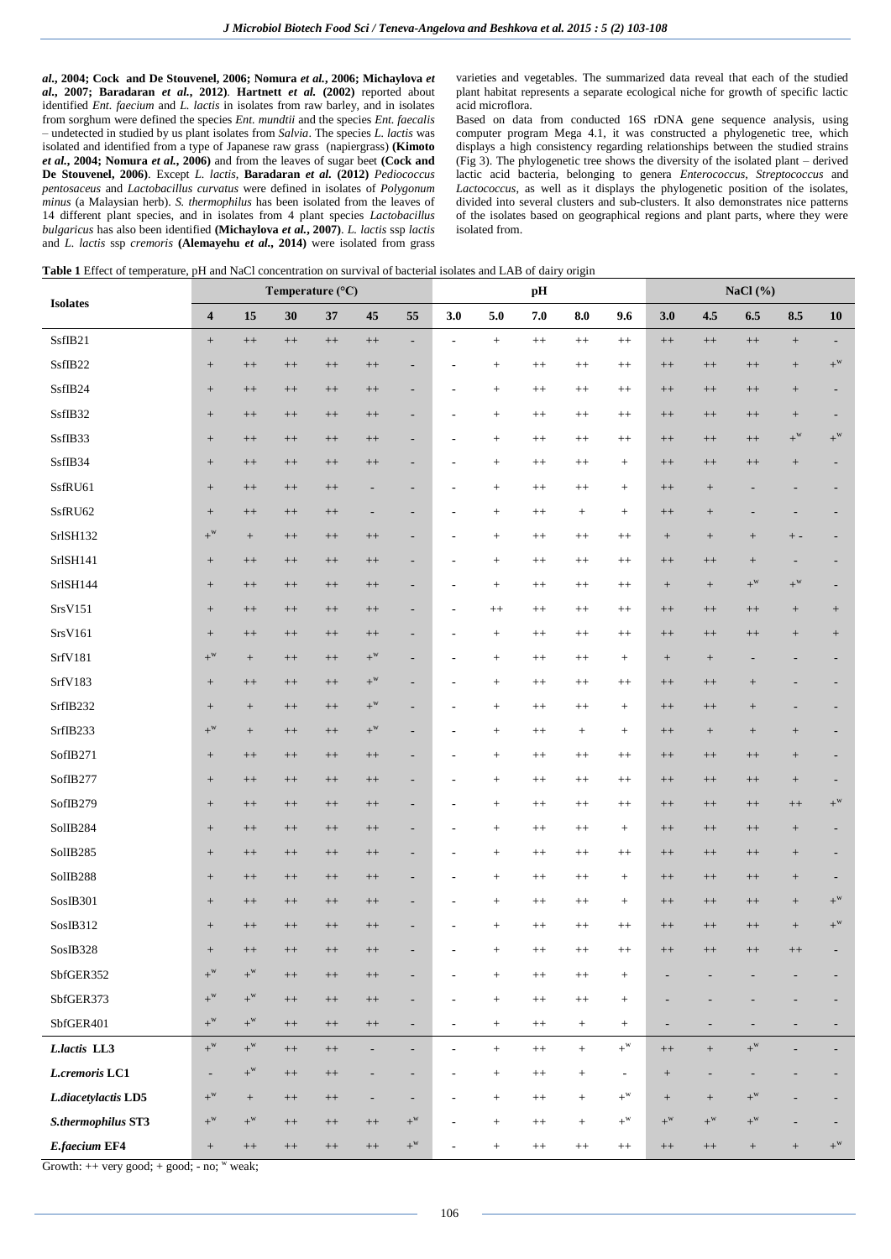*al.***, 2004; Cock and De Stouvenel, 2006; Nomura** *et al.***, 2006; Michaylova** *et al.***, 2007; Baradaran** *et al.***, 2012)**. **Hartnett** *et al.* **(2002)** reported about identified *Ent. faecium* and *L. lactis* in isolates from raw barley, and in isolates from sorghum were defined the species *Ent. mundtii* and the species *Ent. faecalis* – undetected in studied by us plant isolates from *Salvia*. The species *L. lactis* was isolated and identified from a type of Japanese raw grass (napiergrass) **(Kimoto** *et al.***, 2004; Nomura** *et al.***, 2006)** and from the leaves of sugar beet **(Cock and De Stouvenel, 2006)**. Except *L. lactis*, **Baradaran** *et al.* **(2012)** *Pediococcus pentosaceus* and *Lactobacillus curvatus* were defined in isolates of *Polygonum minus* (a Malaysian herb). *S. thermophilus* has been isolated from the leaves of 14 different plant species, and in isolates from 4 plant species *Lactobacillus bulgaricus* has also been identified **(Michaylova** *et al.***, 2007)**. *L. lactis* ssp *lactis* and *L. lactis* ssp *cremoris* **(Alemayehu** *et al.***, 2014)** were isolated from grass

varieties and vegetables. The summarized data reveal that each of the studied plant habitat represents a separate ecological niche for growth of specific lactic acid microflora.

Based on data from conducted 16S rDNA gene sequence analysis, using computer program Mega 4.1, it was constructed a phylogenetic tree, which displays a high consistency regarding relationships between the studied strains (Fig 3). The phylogenetic tree shows the diversity of the isolated plant – derived lactic acid bacteria, belonging to genera *Enterococcus*, *Streptococcus* and *Lactococcus*, as well as it displays the phylogenetic position of the isolates, divided into several clusters and sub-clusters. It also demonstrates nice patterns of the isolates based on geographical regions and plant parts, where they were isolated from.

|  |  | Table 1 Effect of temperature, pH and NaCl concentration on survival of bacterial isolates and LAB of dairy origin |  |  |
|--|--|--------------------------------------------------------------------------------------------------------------------|--|--|
|--|--|--------------------------------------------------------------------------------------------------------------------|--|--|

| <b>Isolates</b>     | Temperature (°C)                 |                   |           |           | pH                       |                          |                          |                   | NaCl $(\%)$ |                  |                          |                          |                                  |                  |                                  |                                  |
|---------------------|----------------------------------|-------------------|-----------|-----------|--------------------------|--------------------------|--------------------------|-------------------|-------------|------------------|--------------------------|--------------------------|----------------------------------|------------------|----------------------------------|----------------------------------|
|                     | $\overline{\mathbf{4}}$          | 15                | 30        | 37        | 45                       | 55                       | 3.0                      | 5.0               | 7.0         | 8.0              | 9.6                      | 3.0                      | 4.5                              | 6.5              | 8.5                              | 10                               |
| SsfIB21             | $^+$                             | $^{++}$           | $^{++}\,$ | $++$      | $++$                     | $\overline{\phantom{a}}$ | $\overline{\phantom{a}}$ | $\qquad \qquad +$ | $^{++}$     | $^{++}$          | $^{++}$                  | $^{++}\,$                | $^{++}\,$                        | $++$             | $^+$                             |                                  |
| SsfIB22             | $^+$                             | $++$              | $^{++}$   | $++$      | $++$                     | $\overline{\phantom{a}}$ |                          | $^{+}$            | $^{++}$     | $^{++}$          | $^{++}$                  | $++$                     | $^{++}\,$                        | $++$             | $^+$                             | $+^{\mathrm{w}}$                 |
| SsfIB24             | $\begin{array}{c} + \end{array}$ | $^{++}$           | $++$      | $++$      | $++$                     | $\overline{\phantom{a}}$ | ٠                        |                   | $^{++}$     | $^{++}$          | $^{++}$                  | $++$                     | $++$                             | $^{++}$          | $\begin{array}{c} + \end{array}$ |                                  |
| SsfIB32             | $\begin{array}{c} + \end{array}$ | $++$              | $^{++}$   | $++$      | $++$                     | $\overline{\phantom{a}}$ | $\overline{a}$           |                   | $^{++}$     | $^{++}$          | $^{++}$                  | $^{++}$                  | $++$                             | $++$             | $\begin{array}{c} + \end{array}$ |                                  |
| SsfIB33             | $\begin{array}{c} + \end{array}$ | $++$              | $++$      | $^{++}$   | $^{++}$                  | $\overline{\phantom{a}}$ |                          |                   | $^{++}$     | $^{++}$          | $^{++}$                  | $++$                     | $++$                             | $^{++}$          | $+^{\mathrm{w}}$                 | $+^{\rm w}$                      |
| SsfIB34             | $^+$                             | $^{++}\,$         | $++$      | $++$      | $^{++}$                  | $\overline{\phantom{a}}$ |                          |                   | $^{++}$     | $^{++}$          | $\! + \!\!\!\!$          | $++$                     | $^{++}$                          | $^{++}$          |                                  |                                  |
| SsfRU61             | $+$                              | $++$              | $^{++}$   | $^{++}$   | $\overline{\phantom{a}}$ | $\overline{\phantom{a}}$ | ٠                        | $^{+}$            | $^{++}$     | $^{++}$          | $+$                      | $++$                     | $\begin{array}{c} + \end{array}$ |                  |                                  |                                  |
| SsfRU62             | $^+$                             | $++$              | $^{++}\,$ | $^{++}$   | $\overline{\phantom{a}}$ | $\overline{\phantom{a}}$ |                          | $^{+}$            | $^{++}$     | $^{+}$           | $\ddot{}$                | $++$                     | $\begin{array}{c} + \end{array}$ |                  |                                  |                                  |
| SrlSH132            | $+^{\rm w}$                      | $\qquad \qquad +$ | $^{++}$   | $++$      | $++$                     | $\overline{\phantom{a}}$ | ٠                        |                   | $^{++}$     | $^{++}$          | $^{++}$                  |                          | $^+$                             | $+$              | $+ -$                            |                                  |
| SrlSH141            | $^+$                             | $^{++}$           | $++$      | $++$      | $++$                     | $\overline{\phantom{a}}$ | ٠                        |                   | $^{++}$     | $^{++}$          | $^{++}$                  | $^{++}$                  | $^{++}$                          | $^+$             |                                  |                                  |
| SrlSH144            | $^+$                             | $++$              | $^{++}$   | $++$      | $++$                     | $\overline{\phantom{a}}$ | ٠                        |                   | $^{++}$     | $^{++}$          | $^{++}$                  | $^{+}$                   | $^+$                             | $+^{\rm w}$      | $+^{\rm w}$                      |                                  |
| SrsV151             | $\begin{array}{c} + \end{array}$ | $++$              | $^{++}$   | $++$      | $++$                     | $\overline{\phantom{a}}$ |                          | $^{++}$           | $^{++}$     | $^{++}$          | $^{++}$                  | $++$                     | $^{++}$                          | $^{++}$          |                                  | $^{+}$                           |
| SrsV161             | $+$                              | $++$              | $++$      | $++$      | $^{++}$                  | $\overline{\phantom{a}}$ |                          |                   | $^{++}$     | $^{++}$          | $^{++}$                  | $++$                     | $^{++}$                          | $++$             | $\begin{array}{c} + \end{array}$ | $\begin{array}{c} + \end{array}$ |
| SrfV181             | $+^{\rm w}$                      | $^+$              | $^{++}$   | $^{++}$   | $+^{\rm w}$              | $\overline{\phantom{a}}$ | ٠                        |                   | $^{++}$     | $^{++}$          | $+$                      | $\boldsymbol{+}$         | $\begin{array}{c} + \end{array}$ |                  |                                  |                                  |
| SrfV183             | $\begin{array}{c} + \end{array}$ | $^{++}$           | $^{++}$   | $++$      | $+^{\rm w}$              | $\overline{\phantom{a}}$ | ٠                        | $^{+}$            | $^{++}$     | $^{++}$          | $^{++}$                  | $++$                     | $++$                             | $\! + \!\!\!\!$  |                                  |                                  |
| SrfIB232            | $\! + \!\!\!\!$                  | $\! + \!\!\!\!$   | $^{++}$   | $^{++}$   | $+^{\rm w}$              | $\overline{\phantom{a}}$ |                          | $^{+}$            | $^{++}$     | $^{++}$          | $\! + \!\!\!\!$          | $++$                     | $^{++}$                          | $\! + \!\!\!\!$  |                                  |                                  |
| SrfIB233            | $+^{\mathrm{w}}$                 | $^+$              | $^{++}$   | $++$      | $+^{\rm w}$              | $\overline{\phantom{a}}$ | $\overline{\phantom{a}}$ |                   | $^{++}$     |                  | $\! + \!\!\!\!$          | $++$                     | $^+$                             | $^+$             | $\! + \!\!\!\!$                  |                                  |
| SofIB271            | $\begin{array}{c} + \end{array}$ | $^{++}$           | $^{++}$   | $++$      | $++$                     | $\overline{\phantom{a}}$ | $\overline{a}$           |                   | $^{++}$     | $^{++}$          | $^{++}$                  | $++$                     | $++$                             | $++$             | $\! + \!\!\!\!$                  |                                  |
| SofIB277            | $^+$                             | $^{++}$           | $^{++}$   | $++$      | $++$                     | $\overline{\phantom{a}}$ |                          |                   | $^{++}$     | $^{++}$          | $^{++}$                  | $++$                     | $++$                             | $++$             | $\! + \!\!\!\!$                  |                                  |
| SofIB279            | $^+$                             | $++$              | $^{++}\,$ | $++$      | $^{++}$                  | $\overline{\phantom{a}}$ |                          | $^{+}$            | $^{++}$     | $^{++}$          | $^{++}$                  | $++$                     | $++$                             | $++$             | $++$                             | $+^{\rm w}$                      |
| SolIB284            | $\begin{array}{c} + \end{array}$ | $++$              | $^{++}$   | $++$      | $^{++}$                  | $\overline{\phantom{a}}$ |                          |                   | $^{++}$     | $^{++}$          | $\! + \!\!\!\!$          | $++$                     | $++$                             | $++$             |                                  |                                  |
| SolIB285            | $^+$                             | $++$              | $++$      | $++$      | $^{++}$                  | $\overline{\phantom{a}}$ |                          | $^{+}$            | $^{++}$     | $^{++}$          | $^{++}$                  | $++$                     | $++$                             | $++$             | $\begin{array}{c} + \end{array}$ |                                  |
| SolIB288            | $+$                              | $++$              | $^{++}$   | $++$      | $^{++}$                  | $\overline{\phantom{a}}$ | ٠                        | $+$               | $^{++}$     | $^{++}$          | $\! + \!\!\!\!$          | $++$                     | $++$                             | $^{++}$          | $\begin{array}{c} + \end{array}$ |                                  |
| SosIB301            | $\! + \!\!\!\!$                  | $++$              | $++$      | $++$      | $++$                     | $\overline{\phantom{a}}$ | $\qquad \qquad$          |                   | $^{++}$     | $^{++}$          | $\! + \!\!\!\!$          | $++$                     | $++$                             | $^{++}$          | $\begin{array}{c} + \end{array}$ | $+^{\rm w}$                      |
| SosIB312            | $\! + \!\!\!\!$                  | $^{++}$           | $^{++}$   | $++$      | $^{++}$                  | $\overline{\phantom{a}}$ |                          | $^{+}$            | $^{++}$     | $^{++}$          | $^{++}$                  | $++$                     | $++$                             | $++$             |                                  | $+^{\rm w}$                      |
| SosIB328            | $^+$                             | $++$              | $++$      | $++$      | $++$                     | $\overline{\phantom{a}}$ |                          |                   | $++$        | $++$             | $^{++}$                  | $^{++}$                  | $^{++}\,$                        | $++$             | $^{++}\,$                        |                                  |
| SbfGER352           | $+^{\rm w}$                      | $+^{\rm w}$       | $^{++}\,$ | $++$      | $++$                     | $\overline{\phantom{a}}$ |                          | $+$               | $^{++}$     | $^{++}$          | $\! + \!\!\!\!$          |                          |                                  |                  |                                  |                                  |
| SbfGER373           | $+^{\rm w}$                      | $+^{\rm w}$       | $^{++}\,$ | $^{++}\,$ | $\boldsymbol{++}$        | $\blacksquare$           | $\overline{a}$           | $\! +$            | $^{++}\,$   | $^{++}\,$        | $\! + \!\!\!\!$          | $\overline{\phantom{a}}$ |                                  |                  |                                  |                                  |
| SbfGER401           | $+^{\mathrm{w}}$                 | $+^{\mathrm{w}}$  | $^{++}\,$ | $^{++}\,$ | $^{++}\,$                | $\blacksquare$           | $\overline{\phantom{a}}$ | $\! + \!\!\!\!$   | $^{++}$     | $+$              |                          | $\overline{\phantom{a}}$ | ٠                                | ٠                |                                  |                                  |
| L.lactis LL3        | $+^{\mathrm{w}}$                 | $+^{\mathrm{w}}$  | $^{++}$   | $^{++}\,$ | $\overline{\phantom{a}}$ | $\overline{\phantom{a}}$ | $\overline{\phantom{a}}$ | $^+$              | $^{++}\,$   | $\boldsymbol{+}$ | $+^{\rm w}$              | $^{++}\,$                | $\boldsymbol{+}$                 | $+^{\rm w}$      |                                  |                                  |
| L.cremoris LC1      | ÷,                               | $+^{\rm w}$       | $^{++}\,$ | $++$      | $\overline{\phantom{a}}$ | $\overline{\phantom{a}}$ | $\overline{\phantom{a}}$ | $\! + \!\!\!\!$   | $^{++}$     | $\boldsymbol{+}$ | $\overline{\phantom{a}}$ | $^+$                     | ٠                                | ٠                |                                  |                                  |
| L.diacetylactis LD5 | $+^{\rm w}$                      | $\qquad \qquad +$ | $^{++}\,$ | $++$      | $\overline{\phantom{a}}$ | $\overline{\phantom{a}}$ |                          | $\! + \!\!\!\!$   | $^{++}$     | $\boldsymbol{+}$ | $+^{\rm w}$              | $\qquad \qquad +$        | $\! + \!\!\!\!$                  | $+^{\rm w}$      |                                  |                                  |
| S.thermophilus ST3  | $+^{\mathrm{w}}$                 | $+^{\mathrm{w}}$  | $^{++}\,$ | $^{++}\,$ | $^{++}\,$                | $+^{\mathrm{w}}$         | ÷,                       | $\! + \!\!\!\!$   | $^{++}$     | $\boldsymbol{+}$ | $+^{\mathrm{w}}$         | $+^{\mathrm{w}}$         | $+^{\mathrm{w}}$                 | $+^{\rm w}$      |                                  |                                  |
| E.faecium EF4       | $^+$                             | $^{++}$           | $^{++}\,$ | $^{++}\,$ | $^{++}\,$                | $+^{\mathrm{w}}$         |                          | $+$               | $^{++}$     | $++$             | $++$                     | $^{++}\,$                | $++$                             | $\boldsymbol{+}$ | $^{+}$                           | $+^{\rm w}$                      |

Growth:  $++$  very good;  $+$  good;  $-$  no;  $\overline{w}$  weak;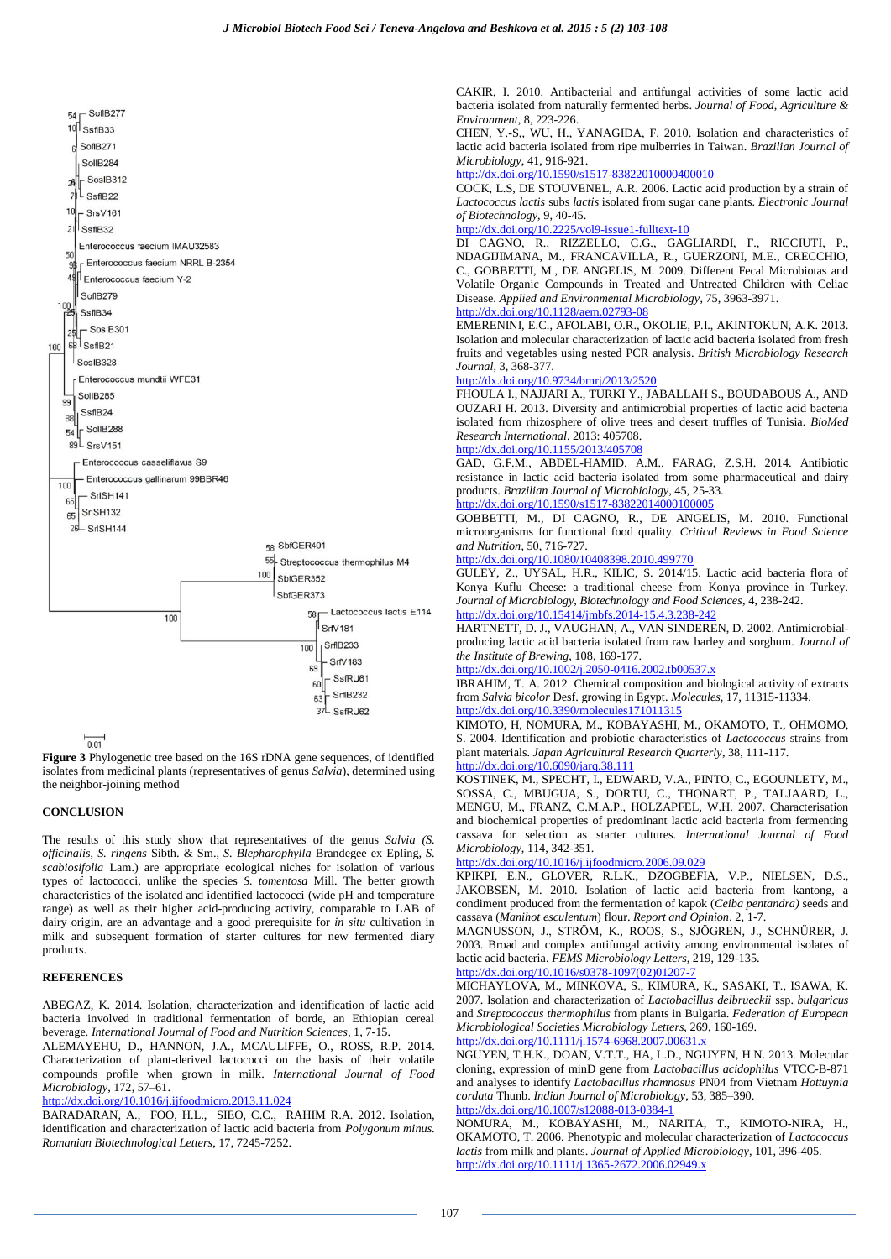

 $0.01$ 

**Figure 3** Phylogenetic tree based on the 16S rDNA gene sequences, of identified isolates from medicinal plants (representatives of genus *Salvia*), determined using the neighbor-joining method

## **CONCLUSION**

The results of this study show that representatives of the genus *Salvia (S. officinalis*, *S. ringens* Sibth. & Sm., *S. Blepharophylla* Brandegee ex Epling, *S. scabiosifolia* Lam.) are appropriate ecological niches for isolation of various types of lactococci, unlike the species *S. tomentosa* Mill. The better growth characteristics of the isolated and identified lactococci (wide pH and temperature range) as well as their higher acid-producing activity, comparable to LAB of dairy origin, are an advantage and a good prerequisite for *in situ* cultivation in milk and subsequent formation of starter cultures for new fermented diary products.

## **REFERENCES**

ABEGAZ, K. 2014. Isolation, characterization and identification of lactic acid bacteria involved in traditional fermentation of borde, an Ethiopian cereal beverage. *International Journal of Food and Nutrition Sciences*, 1, 7-15.

ALEMAYEHU, D., HANNON, J.A., MCAULIFFE, O., ROSS, R.P. 2014. Characterization of plant-derived lactococci on the basis of their volatile compounds profile when grown in milk. *International Journal of Food Microbiology*, 172, 57–61.

## <http://dx.doi.org/10.1016/j.ijfoodmicro.2013.11.024>

BARADARAN, A., FOO, H.L., SIEO, C.C., RAHIM [R.A](http://www.researchgate.net/researcher/2050877270_And_Raha). 2012. Isolation, identification and characterization of lactic acid bacteria from *Polygonum minus. Romanian Biotechnological Letters*, 17, 7245-7252.

CAKIR, I. 2010. Antibacterial and antifungal activities of some lactic acid bacteria isolated from naturally fermented herbs. *Journal of Food, Agriculture & Environment*, 8, 223-226.

CHEN, Y.-S,, WU, H., YANAGIDA, F. 2010. Isolation and characteristics of lactic acid bacteria isolated from ripe mulberries in Taiwan. *Brazilian Journal of Microbiology*, 41, 916-921.

<http://dx.doi.org/10.1590/s1517-83822010000400010>

COCK, L.S, DE STOUVENEL, A.R. 2006. Lactic acid production by a strain of *Lactococcus lactis* subs *lactis* isolated from sugar cane plants. *Electronic Journal of Biotechnology*, 9, 40-45.

### <http://dx.doi.org/10.2225/vol9-issue1-fulltext-10>

DI CAGNO, R., RIZZELLO, C.G., GAGLIARDI, F., RICCIUTI, P., NDAGIJIMANA, M., FRANCAVILLA, R., GUERZONI, M.E., CRECCHIO, C., GOBBETTI, M., DE ANGELIS, M. 2009. Different Fecal Microbiotas and Volatile Organic Compounds in Treated and Untreated Children with Celiac Disease. *Applied and Environmental Microbiology*, 75, 3963-3971.

## <http://dx.doi.org/10.1128/aem.02793-08>

EMERENINI, E.C., AFOLABI, O.R., OKOLIE, P.I., AKINTOKUN, A.K. 2013. Isolation and molecular characterization of lactic acid bacteria isolated from fresh fruits and vegetables using nested PCR analysis. *British Microbiology Research Journal*, 3, 368-377.

## <http://dx.doi.org/10.9734/bmrj/2013/2520>

FHOULA I., NAJJARI A., TURKI Y., JABALLAH S., BOUDABOUS A., AND OUZARI H. 2013. Diversity and antimicrobial properties of lactic acid bacteria isolated from rhizosphere of olive trees and desert truffles of Tunisia. *BioMed Research International*. 2013: 405708.

## <http://dx.doi.org/10.1155/2013/405708>

GAD, G.F.M., ABDEL-HAMID, A.M., FARAG, Z.S.H. 2014. Antibiotic resistance in lactic acid bacteria isolated from some pharmaceutical and dairy products. *Brazilian Journal of Microbiology*, 45, 25-33.

# <http://dx.doi.org/10.1590/s1517-83822014000100005>

GOBBETTI, M., DI CAGNO, R., DE ANGELIS, M. 2010. Functional microorganisms for functional food quality. *Critical Reviews in Food Science and Nutrition*, 50, 716-727.

## <http://dx.doi.org/10.1080/10408398.2010.499770>

GULEY, Z., UYSAL, H.R., KILIC, S. 2014/15. Lactic acid bacteria flora of Konya Kuflu Cheese: a traditional cheese from Konya province in Turkey. *Journal of Microbiology, Biotechnology and Food Sciences*, 4, 238-242. <http://dx.doi.org/10.15414/jmbfs.2014-15.4.3.238-242>

HARTNETT, D. J., VAUGHAN, A., VAN SINDEREN, D. 2002. Antimicrobialproducing lactic acid bacteria isolated from raw barley and sorghum. *Journal of the Institute of Brewing*, 108, 169-177.

## <http://dx.doi.org/10.1002/j.2050-0416.2002.tb00537.x>

IBRAHIM, T. A. 2012. Chemical composition and biological activity of extracts from *Salvia bicolor* Desf. growing in Egypt. *Molecules*, 17, 11315-11334. <http://dx.doi.org/10.3390/molecules171011315>

KIMOTO, H, NOMURA, M., KOBAYASHI, M., OKAMOTO, T., OHMOMO, S. 2004. Identification and probiotic characteristics of *Lactococcus* strains from plant materials. *Japan Agricultural Research Quarterly*, 38, 111-117.

#### <http://dx.doi.org/10.6090/jarq.38.111>

KOSTINEK, M., SPECHT, I., EDWARD, V.A., PINTO, C., EGOUNLETY, M., SOSSA, C., MBUGUA, S., DORTU, C., THONART, P., TALJAARD, L., MENGU, M., FRANZ, C.M.A.P., HOLZAPFEL, W.H. 2007. Characterisation and biochemical properties of predominant lactic acid bacteria from fermenting cassava for selection as starter cultures. *International Journal of Food Microbiology*, 114, 342-351.

## <http://dx.doi.org/10.1016/j.ijfoodmicro.2006.09.029>

KPIKPI, E.N., GLOVER, R.L.K., DZOGBEFIA, V.P., NIELSEN, D.S., JAKOBSEN, M. 2010. Isolation of lactic acid bacteria from kantong, a condiment produced from the fermentation of kapok (*Ceiba pentandra)* seeds and cassava (*Manihot esculentum*) flour. *Report and Opinion*, 2, 1-7.

MAGNUSSON, J., STRӦM, K., ROOS, S., SJÖGREN, J., SCHNÜRER, J. 2003. Broad and complex antifungal activity among environmental isolates of lactic acid bacteria. *FEMS Microbiology Letters*, 219, 129-135.

# http://dx.doi.org/10.1016/s0378-1097(02)01207

MICHAYLOVA, M., MINKOVA, S., KIMURA, K., SASAKI, T., ISAWA, K. 2007. Isolation and characterization of *Lactobacillus delbrueckii* ssp. *bulgaricus* and *Streptococcus thermophilus* from plants in Bulgaria. *Federation of European Microbiological Societies Microbiology Letters*, 269, 160-169. http://dx.doi.org/10.1111/j.1574-6968.2007.00631.

NGUYEN, T.H.K., DOAN, V.T.T., HA, L.D., NGUYEN, H.N. 2013. Molecular cloning, expression of minD gene from *Lactobacillus acidophilus* VTCC-B-871 and analyses to identify *Lactobacillus rhamnosus* PN04 from Vietnam *Hottuynia cordata* Thunb. *Indian Journal of Microbiology*, 53, 385–390.

## <http://dx.doi.org/10.1007/s12088-013-0384-1>

NOMURA, M., KOBAYASHI, M., NARITA, T., KIMOTO-NIRA, H., OKAMOTO, T. 2006. Phenotypic and molecular characterization of *Lactococcus lactis* from milk and plants. *Journal of Applied Microbiology*, 101, 396-405. <http://dx.doi.org/10.1111/j.1365-2672.2006.02949.x>